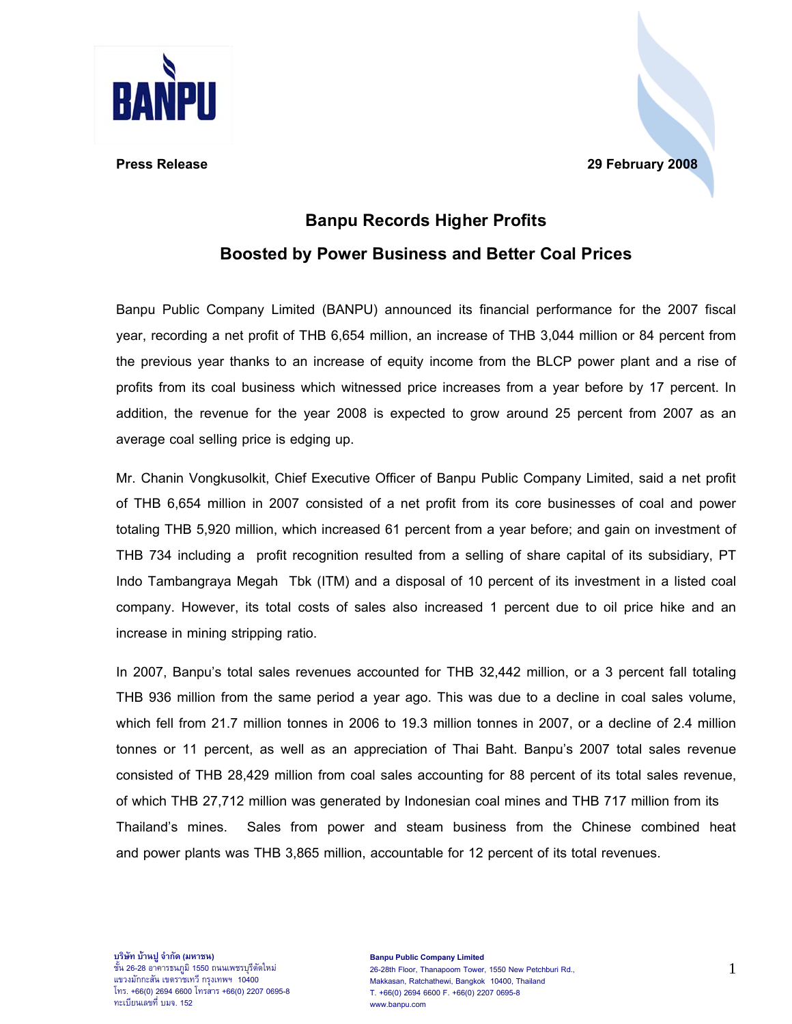

## **Press Release 29 February 2008**

## **Banpu Records Higher Profits Boosted by Power Business and Better Coal Prices**

Banpu Public Company Limited (BANPU) announced its financial performance for the 2007 fiscal year, recording a net profit of THB 6,654 million, an increase of THB 3,044 million or 84 percent from the previous year thanks to an increase of equity income from the BLCP power plant and a rise of profits from its coal business which witnessed price increases from a year before by 17 percent. In addition, the revenue for the year 2008 is expected to grow around 25 percent from 2007 as an average coal selling price is edging up.

Mr. Chanin Vongkusolkit, Chief Executive Officer of Banpu Public Company Limited, said a net profit of THB 6,654 million in 2007 consisted of a net profit from its core businesses of coal and power totaling THB 5,920 million, which increased 61 percent from a year before; and gain on investment of THB 734 including a profit recognition resulted from a selling of share capital of its subsidiary, PT Indo Tambangraya Megah Tbk (ITM) and a disposal of 10 percent of its investment in a listed coal company. However, its total costs of sales also increased 1 percent due to oil price hike and an increase in mining stripping ratio.

In 2007, Banpu's total sales revenues accounted for THB 32,442 million, or a 3 percent fall totaling THB 936 million from the same period a year ago. This was due to a decline in coal sales volume, which fell from 21.7 million tonnes in 2006 to 19.3 million tonnes in 2007, or a decline of 2.4 million tonnes or 11 percent, as well as an appreciation of Thai Baht. Banpu's 2007 total sales revenue consisted of THB 28,429 million from coal sales accounting for 88 percent of its total sales revenue, of which THB 27,712 million was generated by Indonesian coal mines and THB 717 million from its Thailand's mines. Sales from power and steam business from the Chinese combined heat and power plants was THB 3,865 million, accountable for 12 percent of its total revenues.

ชั้น 26-28 อาคารธนภูมิ 1550 ถนนเพชรบุรีตัดใหม แขวงมักกะสัน เขตราชเทวีกรุงเทพฯ 10400 โทร. +66(0) 2694 6600 โทรสาร +66(0) 2207 0695-8 ทะเบียนเลขที่ บมจ. 152

<sup>1</sup> **บริษัท บานปูจํากัด (มหาชน)**  26-28th Floor, Thanapoom Tower, 1550 New Petchburi Rd., **Banpu Public Company Limited** Makkasan, Ratchathewi, Bangkok 10400, Thailand T. +66(0) 2694 6600 F. +66(0) 2207 0695-8 www.banpu.com